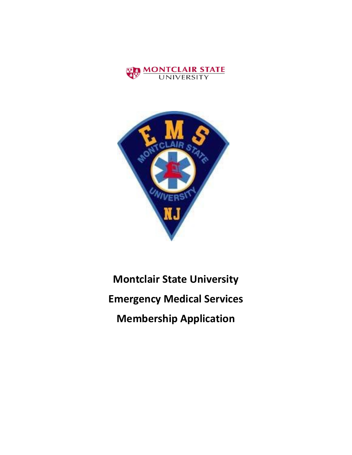



# **Montclair State University Emergency Medical Services Membership Application**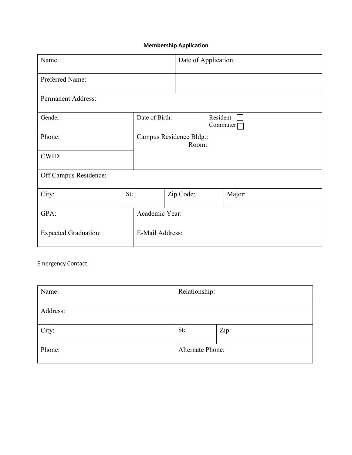## **Membership Application**

| Name:                                          |     |                                  | Date of Application: |                      |        |
|------------------------------------------------|-----|----------------------------------|----------------------|----------------------|--------|
| Preferred Name:                                |     |                                  |                      |                      |        |
| Permanent Address:                             |     |                                  |                      |                      |        |
| Gender:                                        |     | Date of Birth:                   |                      | Resident<br>Commuter |        |
| Phone:                                         |     | Campus Residence Bldg.:<br>Room: |                      |                      |        |
| CWID:                                          |     |                                  |                      |                      |        |
| Off Campus Residence:                          |     |                                  |                      |                      |        |
| City:                                          | St: |                                  | Zip Code:            |                      | Major: |
| GPA:                                           |     | Academic Year:                   |                      |                      |        |
| E-Mail Address:<br><b>Expected Graduation:</b> |     |                                  |                      |                      |        |

Emergency Contact:

| Name:    | Relationship:    |      |
|----------|------------------|------|
| Address: |                  |      |
| City:    | St:              | Zip: |
| Phone:   | Alternate Phone: |      |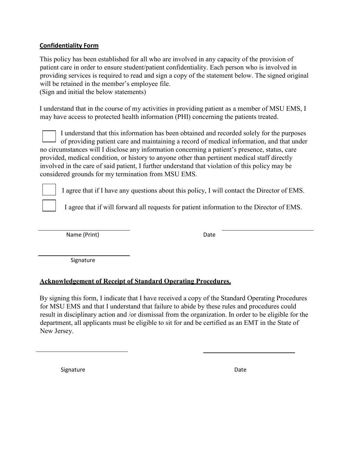## **Confidentiality Form**

This policy has been established for all who are involved in any capacity of the provision of patient care in order to ensure student/patient confidentiality. Each person who is involved in providing services is required to read and sign a copy of the statement below. The signed original will be retained in the member's employee file.

(Sign and initial the below statements)

I understand that in the course of my activities in providing patient as a member of MSU EMS, I may have access to protected health information (PHI) concerning the patients treated.

I understand that this information has been obtained and recorded solely for the purposes of providing patient care and maintaining a record of medical information, and that under no circumstances will I disclose any information concerning a patient's presence, status, care provided, medical condition, or history to anyone other than pertinent medical staff directly involved in the care of said patient, I further understand that violation of this policy may be considered grounds for my termination from MSU EMS.

I agree that if I have any questions about this policy, I will contact the Director of EMS.

I agree that if will forward all requests for patient information to the Director of EMS.

Name (Print) Date

Signature

## **Acknowledgement of Receipt of Standard Operating Procedures.**

By signing this form, I indicate that I have received a copy of the Standard Operating Procedures for MSU EMS and that I understand that failure to abide by these rules and procedures could result in disciplinary action and /or dismissal from the organization. In order to be eligible for the department, all applicants must be eligible to sit for and be certified as an EMT in the State of New Jersey.

Signature Date Date Date Date Date Date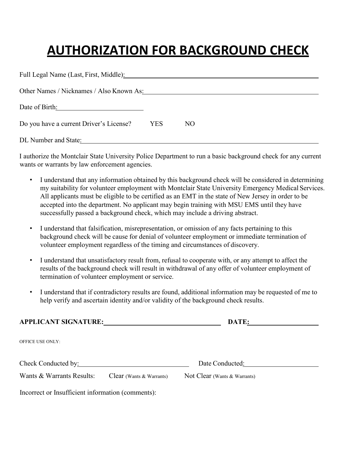## **AUTHORIZATION FOR BACKGROUND CHECK**

| Full Legal Name (Last, First, Middle):   |      |     |
|------------------------------------------|------|-----|
| Other Names / Nicknames / Also Known As: |      |     |
| Date of Birth:                           |      |     |
| Do you have a current Driver's License?  | YES. | NO. |
| DL Number and State:                     |      |     |

I authorize the Montclair State University Police Department to run a basic background check for any current wants or warrants by law enforcement agencies.

- I understand that any information obtained by this background check will be considered in determining my suitability for volunteer employment with Montclair State University Emergency Medical Services. All applicants must be eligible to be certified as an EMT in the state of New Jersey in order to be accepted into the department. No applicant may begin training with MSU EMS until they have successfully passed a background check, which may include a driving abstract.
- I understand that falsification, misrepresentation, or omission of any facts pertaining to this background check will be cause for denial of volunteer employment or immediate termination of volunteer employment regardless of the timing and circumstances of discovery.
- I understand that unsatisfactory result from, refusal to cooperate with, or any attempt to affect the results of the background check will result in withdrawal of any offer of volunteer employment of termination of volunteer employment or service.
- I understand that if contradictory results are found, additional information may be requested of me to help verify and ascertain identity and/or validity of the background check results.

| <b>APPLICANT SIGNATURE:</b>                       |                          | DATE:                        |  |
|---------------------------------------------------|--------------------------|------------------------------|--|
| <b>OFFICE USE ONLY:</b>                           |                          |                              |  |
| Check Conducted by:                               |                          | Date Conducted:              |  |
| Wants & Warrants Results:                         | Clear (Wants & Warrants) | Not Clear (Wants & Warrants) |  |
| Incorrect or Insufficient information (comments): |                          |                              |  |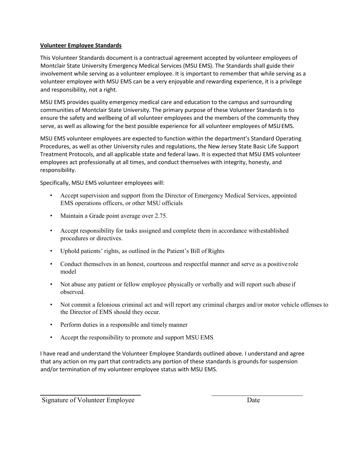### **Volunteer Employee Standards**

This Volunteer Standards document is a contractual agreement accepted by volunteer employees of Montclair State University Emergency Medical Services (MSU EMS). The Standards shall guide their involvement while serving as a volunteer employee. It is important to remember that while serving as a volunteer employee with MSU EMS can be a very enjoyable and rewarding experience, it is a privilege and responsibility, not a right.

MSU EMS provides quality emergency medical care and education to the campus and surrounding communities of Montclair State University. The primary purpose of these Volunteer Standards is to ensure the safety and wellbeing of all volunteer employees and the members of the community they serve, as well as allowing for the best possible experience for all volunteer employees of MSUEMS.

MSU EMS volunteer employees are expected to function within the department's Standard Operating Procedures, as well as other University rules and regulations, the New Jersey State Basic Life Support Treatment Protocols, and all applicable state and federal laws. It is expected that MSU EMS volunteer employees act professionally at all times, and conduct themselves with integrity, honesty, and responsibility.

Specifically, MSU EMS volunteer employees will:

- Accept supervision and support from the Director of Emergency Medical Services, appointed EMS operations officers, or other MSU officials
- Maintain a Grade point average over 2.75.
- Accept responsibility for tasks assigned and complete them in accordance withestablished procedures or directives.
- Uphold patients' rights, as outlined in the Patient's Bill of Rights
- Conduct themselves in an honest, courteous and respectful manner and serve as a positive role model
- Not abuse any patient or fellow employee physically or verbally and will report such abuse if observed.
- Not commit a felonious criminal act and will report any criminal charges and/or motor vehicle offenses to the Director of EMS should they occur.
- Perform duties in a responsible and timely manner
- Accept the responsibility to promote and support MSU EMS

I have read and understand the Volunteer Employee Standards outlined above. I understand and agree that any action on my part that contradicts any portion of these standards is grounds for suspension and/or termination of my volunteer employee status with MSU EMS.